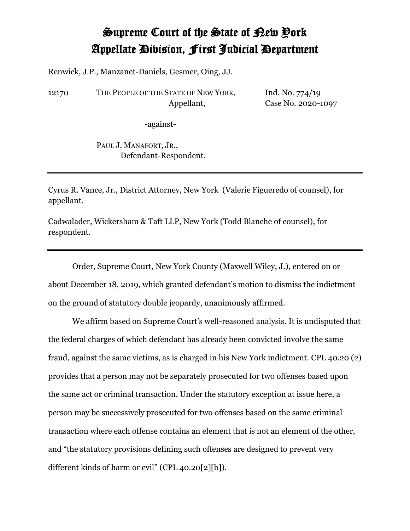## Supreme Court of the State of New York Appellate Division, First Judicial Department

Renwick, J.P., Manzanet-Daniels, Gesmer, Oing, JJ.

12170 THE PEOPLE OF THE STATE OF NEW YORK, Appellant,

Ind. No. 774/19 Case No. 2020-1097

-against-

PAUL J. MANAFORT, JR., Defendant-Respondent.

Cyrus R. Vance, Jr., District Attorney, New York (Valerie Figueredo of counsel), for appellant.

Cadwalader, Wickersham & Taft LLP, New York (Todd Blanche of counsel), for respondent.

Order, Supreme Court, New York County (Maxwell Wiley, J.), entered on or about December 18, 2019, which granted defendant's motion to dismiss the indictment on the ground of statutory double jeopardy, unanimously affirmed.

We affirm based on Supreme Court's well-reasoned analysis. It is undisputed that the federal charges of which defendant has already been convicted involve the same fraud, against the same victims, as is charged in his New York indictment. CPL 40.20 (2) provides that a person may not be separately prosecuted for two offenses based upon the same act or criminal transaction. Under the statutory exception at issue here, a person may be successively prosecuted for two offenses based on the same criminal transaction where each offense contains an element that is not an element of the other, and "the statutory provisions defining such offenses are designed to prevent very different kinds of harm or evil" (CPL 40.20[2][b]).